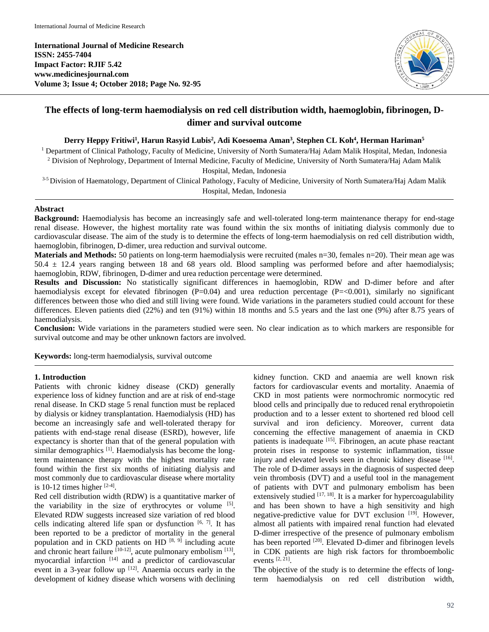**International Journal of Medicine Research ISSN: 2455-7404 Impact Factor: RJIF 5.42 www.medicinesjournal.com Volume 3; Issue 4; October 2018; Page No. 92-95**



# **The effects of long-term haemodialysis on red cell distribution width, haemoglobin, fibrinogen, Ddimer and survival outcome**

#### **Derry Heppy Fritiwi<sup>1</sup> , Harun Rasyid Lubis<sup>2</sup> , Adi Koesoema Aman<sup>3</sup> , Stephen CL Koh<sup>4</sup> , Herman Hariman<sup>5</sup>**

<sup>1</sup> Department of Clinical Pathology, Faculty of Medicine, University of North Sumatera/Haj Adam Malik Hospital, Medan, Indonesia <sup>2</sup> Division of Nephrology, Department of Internal Medicine, Faculty of Medicine, University of North Sumatera/Haj Adam Malik

Hospital, Medan, Indonesia

<sup>3-5</sup> Division of Haematology, Department of Clinical Pathology, Faculty of Medicine, University of North Sumatera/Haj Adam Malik Hospital, Medan, Indonesia

# **Abstract**

**Background:** Haemodialysis has become an increasingly safe and well-tolerated long-term maintenance therapy for end-stage renal disease. However, the highest mortality rate was found within the six months of initiating dialysis commonly due to cardiovascular disease. The aim of the study is to determine the effects of long-term haemodialysis on red cell distribution width, haemoglobin, fibrinogen, D-dimer, urea reduction and survival outcome.

**Materials and Methods:** 50 patients on long-term haemodialysis were recruited (males n=30, females n=20). Their mean age was  $50.4 \pm 12.4$  years ranging between 18 and 68 years old. Blood sampling was performed before and after haemodialysis; haemoglobin, RDW, fibrinogen, D-dimer and urea reduction percentage were determined.

**Results and Discussion:** No statistically significant differences in haemoglobin, RDW and D-dimer before and after haemodialysis except for elevated fibrinogen  $(P=0.04)$  and urea reduction percentage  $(P=<0.001)$ , similarly no significant differences between those who died and still living were found. Wide variations in the parameters studied could account for these differences. Eleven patients died (22%) and ten (91%) within 18 months and 5.5 years and the last one (9%) after 8.75 years of haemodialysis.

**Conclusion:** Wide variations in the parameters studied were seen. No clear indication as to which markers are responsible for survival outcome and may be other unknown factors are involved.

**Keywords:** long-term haemodialysis, survival outcome

# **1. Introduction**

Patients with chronic kidney disease (CKD) generally experience loss of kidney function and are at risk of end-stage renal disease. In CKD stage 5 renal function must be replaced by dialysis or kidney transplantation. Haemodialysis (HD) has become an increasingly safe and well-tolerated therapy for patients with end-stage renal disease (ESRD), however, life expectancy is shorter than that of the general population with similar demographics  $[1]$ . Haemodialysis has become the longterm maintenance therapy with the highest mortality rate found within the first six months of initiating dialysis and most commonly due to cardiovascular disease where mortality is 10-12 times higher  $[2-4]$ .

Red cell distribution width (RDW) is a quantitative marker of the variability in the size of erythrocytes or volume [5]. Elevated RDW suggests increased size variation of red blood cells indicating altered life span or dysfunction  $[6, 7]$ . It has been reported to be a predictor of mortality in the general population and in CKD patients on HD  $[8, 9]$  including acute and chronic heart failure  $[10-12]$ , acute pulmonary embolism  $[13]$ , myocardial infarction<sup>[14]</sup> and a predictor of cardiovascular event in a 3-year follow up  $[12]$ . Anaemia occurs early in the development of kidney disease which worsens with declining

kidney function. CKD and anaemia are well known risk factors for cardiovascular events and mortality. Anaemia of CKD in most patients were normochromic normocytic red blood cells and principally due to reduced renal erythropoietin production and to a lesser extent to shortened red blood cell survival and iron deficiency. Moreover, current data concerning the effective management of anaemia in CKD patients is inadequate [15]. Fibrinogen, an acute phase reactant protein rises in response to systemic inflammation, tissue injury and elevated levels seen in chronic kidney disease [16]. The role of D-dimer assays in the diagnosis of suspected deep vein thrombosis (DVT) and a useful tool in the management of patients with DVT and pulmonary embolism has been extensively studied  $[17, 18]$ . It is a marker for hypercoagulability and has been shown to have a high sensitivity and high negative-predictive value for DVT exclusion [19]. However, almost all patients with impaired renal function had elevated D-dimer irrespective of the presence of pulmonary embolism has been reported <sup>[20]</sup>. Elevated D-dimer and fibrinogen levels in CDK patients are high risk factors for thromboembolic events [2, 21] .

The objective of the study is to determine the effects of longterm haemodialysis on red cell distribution width,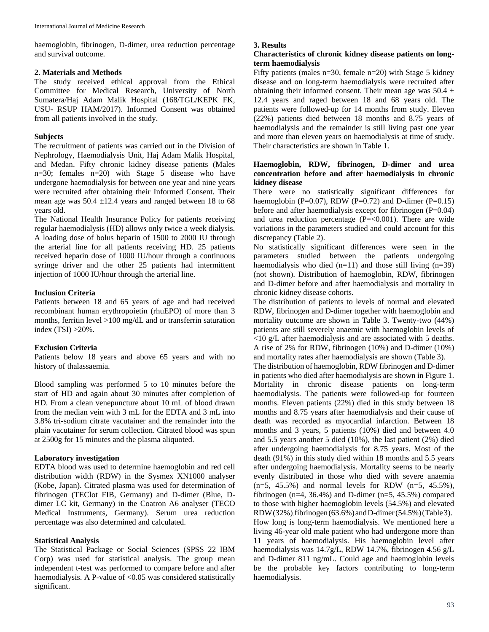haemoglobin, fibrinogen, D-dimer, urea reduction percentage and survival outcome.

## **2. Materials and Methods**

The study received ethical approval from the Ethical Committee for Medical Research, University of North Sumatera/Haj Adam Malik Hospital (168/TGL/KEPK FK, USU- RSUP HAM/2017). Informed Consent was obtained from all patients involved in the study.

# **Subjects**

The recruitment of patients was carried out in the Division of Nephrology, Haemodialysis Unit, Haj Adam Malik Hospital, and Medan. Fifty chronic kidney disease patients (Males n=30; females n=20) with Stage 5 disease who have undergone haemodialysis for between one year and nine years were recruited after obtaining their Informed Consent. Their mean age was  $50.4 \pm 12.4$  years and ranged between 18 to 68 years old.

The National Health Insurance Policy for patients receiving regular haemodialysis (HD) allows only twice a week dialysis. A loading dose of bolus heparin of 1500 to 2000 IU through the arterial line for all patients receiving HD. 25 patients received heparin dose of 1000 IU/hour through a continuous syringe driver and the other 25 patients had intermittent injection of 1000 IU/hour through the arterial line.

# **Inclusion Criteria**

Patients between 18 and 65 years of age and had received recombinant human erythropoietin (rhuEPO) of more than 3 months, ferritin level >100 mg/dL and or transferrin saturation index (TSI) >20%.

# **Exclusion Criteria**

Patients below 18 years and above 65 years and with no history of thalassaemia.

Blood sampling was performed 5 to 10 minutes before the start of HD and again about 30 minutes after completion of HD. From a clean venepuncture about 10 mL of blood drawn from the median vein with 3 mL for the EDTA and 3 mL into 3.8% tri-sodium citrate vacutainer and the remainder into the plain vacutainer for serum collection. Citrated blood was spun at 2500g for 15 minutes and the plasma aliquoted.

# **Laboratory investigation**

EDTA blood was used to determine haemoglobin and red cell distribution width (RDW) in the Sysmex XN1000 analyser (Kobe, Japan). Citrated plasma was used for determination of fibrinogen (TEClot FIB, Germany) and D-dimer (Blue, Ddimer LC kit, Germany) in the Coatron A6 analyser (TECO Medical Instruments, Germany). Serum urea reduction percentage was also determined and calculated.

# **Statistical Analysis**

The Statistical Package or Social Sciences (SPSS 22 IBM Corp) was used for statistical analysis. The group mean independent t-test was performed to compare before and after haemodialysis. A P-value of <0.05 was considered statistically significant.

# **3. Results**

#### **Characteristics of chronic kidney disease patients on longterm haemodialysis**

Fifty patients (males  $n=30$ , female  $n=20$ ) with Stage 5 kidney disease and on long-term haemodialysis were recruited after obtaining their informed consent. Their mean age was  $50.4 \pm$ 12.4 years and raged between 18 and 68 years old. The patients were followed-up for 14 months from study. Eleven (22%) patients died between 18 months and 8.75 years of haemodialysis and the remainder is still living past one year and more than eleven years on haemodialysis at time of study. Their characteristics are shown in Table 1.

# **Haemoglobin, RDW, fibrinogen, D-dimer and urea concentration before and after haemodialysis in chronic kidney disease**

There were no statistically significant differences for haemoglobin (P=0.07), RDW (P=0.72) and D-dimer (P=0.15) before and after haemodialysis except for fibrinogen (P=0.04) and urea reduction percentage  $(P=<0.001)$ . There are wide variations in the parameters studied and could account for this discrepancy (Table 2).

No statistically significant differences were seen in the parameters studied between the patients undergoing haemodialysis who died  $(n=11)$  and those still living  $(n=39)$ (not shown). Distribution of haemoglobin, RDW, fibrinogen and D-dimer before and after haemodialysis and mortality in chronic kidney disease cohorts.

The distribution of patients to levels of normal and elevated RDW, fibrinogen and D-dimer together with haemoglobin and mortality outcome are shown in Table 3. Twenty-two (44%) patients are still severely anaemic with haemoglobin levels of <10 g/L after haemodialysis and are associated with 5 deaths. A rise of 2% for RDW, fibrinogen (10%) and D-dimer (10%) and mortality rates after haemodialysis are shown (Table 3).

The distribution of haemoglobin, RDW fibrinogen and D-dimer in patients who died after haemodialysis are shown in Figure 1. Mortality in chronic disease patients on long-term haemodialysis. The patients were followed-up for fourteen months. Eleven patients (22%) died in this study between 18 months and 8.75 years after haemodialysis and their cause of death was recorded as myocardial infarction. Between 18 months and 3 years, 5 patients (10%) died and between 4.0 and 5.5 years another 5 died (10%), the last patient (2%) died after undergoing haemodialysis for 8.75 years. Most of the death (91%) in this study died within 18 months and 5.5 years after undergoing haemodialysis. Mortality seems to be nearly evenly distributed in those who died with severe anaemia  $(n=5, 45.5%)$  and normal levels for RDW  $(n=5, 45.5%),$ fibrinogen (n=4, 36.4%) and D-dimer (n=5, 45.5%) compared to those with higher haemoglobin levels (54.5%) and elevated RDW(32%), fibrinogen( $63.6\%$ ) and D-dimer( $54.5\%$ )(Table 3). How long is long-term haemodialysis. We mentioned here a living 46-year old male patient who had undergone more than 11 years of haemodialysis. His haemoglobin level after haemodialysis was 14.7g/L, RDW 14.7%, fibrinogen 4.56 g/L and D-dimer 811 ng/mL. Could age and haemoglobin levels be the probable key factors contributing to long-term haemodialysis.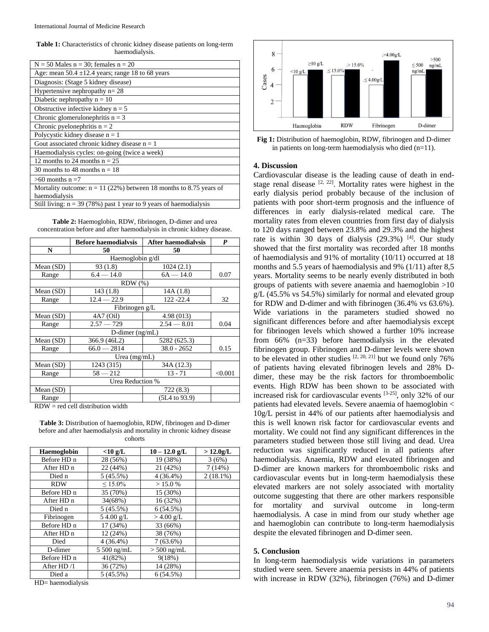**Table 1:** Characteristics of chronic kidney disease patients on long-term haemodialysis.

| $N = 50$ Males $n = 30$ ; females $n = 20$                           |
|----------------------------------------------------------------------|
| Age: mean $50.4 \pm 12.4$ years; range 18 to 68 years                |
| Diagnosis: (Stage 5 kidney disease)                                  |
| Hypertensive nephropathy $n = 28$                                    |
| Diabetic nephropathy $n = 10$                                        |
| Obstructive infective kidney $n = 5$                                 |
| Chronic glomerulones phritis $n = 3$                                 |
| Chronic pyelonephritis $n = 2$                                       |
| Polycystic kidney disease $n = 1$                                    |
| Gout associated chronic kidney disease $n = 1$                       |
| Haemodialysis cycles: on-going (twice a week)                        |
| 12 months to 24 months $n = 25$                                      |
| 30 months to 48 months $n = 18$                                      |
| $>60$ months n =7                                                    |
| Mortality outcome: $n = 11$ (22%) between 18 months to 8.75 years of |
| haemodialysis                                                        |
| Still living: $n = 39$ (78%) past 1 year to 9 years of haemodialysis |

**Table 2:** Haemoglobin, RDW, fibrinogen, D-dimer and urea concentration before and after haemodialysis in chronic kidney disease.

|                    | <b>Before haemodialysis</b> | After haemodialvsis      | P       |  |  |
|--------------------|-----------------------------|--------------------------|---------|--|--|
| N                  | 50                          | 50                       |         |  |  |
|                    | Haemoglobin g/dl            |                          |         |  |  |
| Mean (SD)          | 93 (1.8)                    | 1024(2.1)                |         |  |  |
| Range              | $6.4 - 14.0$                | $6A - 14.0$              | 0.07    |  |  |
| RDW(%)             |                             |                          |         |  |  |
| Mean (SD)          | 143(1.8)                    | 14A (1.8)                |         |  |  |
| Range              | $12.4 - 22.9$               | 122-22.4                 | 32      |  |  |
| Fibrinogen g/L     |                             |                          |         |  |  |
| Mean $(SD)$        | 4A7 (Oil)                   | 4.98 (013)               |         |  |  |
| Range              | $2.57 - 729$                | $2.54 - 8.01$            | 0.04    |  |  |
| $D$ -dimer (ng/mL) |                             |                          |         |  |  |
| Mean (SD)          | 366.9 (46L2)                | 5282 (625.3)             |         |  |  |
| Range              | $66.0 - 2814$               | $38.0 - 2652$            | 0.15    |  |  |
| Urea $(mg/mL)$     |                             |                          |         |  |  |
| Mean (SD)          | 1243 (315)                  | 34A (12.3)               |         |  |  |
| Range              | $58 - 212$                  | $13 - 71$                | < 0.001 |  |  |
| Urea Reduction %   |                             |                          |         |  |  |
| Mean (SD)          |                             | 722 (8.3)                |         |  |  |
| Range              |                             | $(5L4 \text{ to } 93.9)$ |         |  |  |

 $RDW = red$  cell distribution width

**Table 3:** Distribution of haemoglobin, RDW, fibrinogen and D-dimer before and after haemodialysis and mortality in chronic kidney disease cohorts

| Haemoglobin  | $<$ 10 g/L   | $10 - 12.0$ g/L | $>12.0$ g/L |
|--------------|--------------|-----------------|-------------|
| Before HD n  | 28 (56%)     | 19 (38%)        | 3(6%)       |
| After HD n   | 22 (44%)     | 21 (42%)        | 7(14%)      |
| Died n       | 5(45.5%)     | $4(36.4\%)$     | $2(18.1\%)$ |
| <b>RDW</b>   | $< 15.0\%$   | >15.0%          |             |
| Before HD n  | 35 (70%)     | 15 (30%)        |             |
| After HD n   | 34(68%)      | 16 (32%)        |             |
| Died n       | 5(45.5%)     | 6(54.5%)        |             |
| Fibrinogen   | $54.00$ g/L  | $>$ 4.00 g/L    |             |
| Before HD n  | 17 (34%)     | 33 (66%)        |             |
| After HD n   | 12 (24%)     | 38 (76%)        |             |
| Died         | $4(36.4\%)$  | $7(63.6\%)$     |             |
| D-dimer      | $5500$ ng/mL | $> 500$ ng/mL   |             |
| Before HD n  | 41(82%)      | 9(18%)          |             |
| After $HD/1$ | 36 (72%)     | 14 (28%)        |             |
| Died a       | 5(45.5%)     | 6(54.5%)        |             |
|              |              |                 |             |

HD= haemodialysis



**Fig 1:** Distribution of haemoglobin, RDW, fibrinogen and D-dimer in patients on long-term haemodialysis who died  $(n=11)$ .

#### **4. Discussion**

Cardiovascular disease is the leading cause of death in endstage renal disease  $[2, 22]$ . Mortality rates were highest in the early dialysis period probably because of the inclusion of patients with poor short-term prognosis and the influence of differences in early dialysis-related medical care. The mortality rates from eleven countries from first day of dialysis to 120 days ranged between 23.8% and 29.3% and the highest rate is within 30 days of dialysis  $(29.3\%)$  [4]. Our study showed that the first mortality was recorded after 18 months of haemodialysis and 91% of mortality (10/11) occurred at 18 months and 5.5 years of haemodialysis and 9% (1/11) after 8,5 years. Mortality seems to be nearly evenly distributed in both groups of patients with severe anaemia and haemoglobin >10 g/L (45.5% vs 54.5%) similarly for normal and elevated group for RDW and D-dimer and with fibrinogen (36.4% vs 63.6%). Wide variations in the parameters studied showed no significant differences before and after haemodialysis except for fibrinogen levels which showed a further 10% increase from 66% (n=33) before haemodialysis in the elevated fibrinogen group. Fibrinogen and D-dimer levels were shown to be elevated in other studies  $[2, 20, 21]$  but we found only 76% of patients having elevated fibrinogen levels and 28% Ddimer, these may be the risk factors for thromboembolic events. High RDW has been shown to be associated with increased risk for cardiovascular events [3-25] , only 32% of our patients had elevated levels. Severe anaemia of haemoglobin < 10g/L persist in 44% of our patients after haemodialysis and this is well known risk factor for cardiovascular events and mortality. We could not find any significant differences in the parameters studied between those still living and dead. Urea reduction was significantly reduced in all patients after haemodialysis. Anaemia, RDW and elevated fibrinogen and D-dimer are known markers for thromboembolic risks and cardiovascular events but in long-term haemodialysis these elevated markers are not solely associated with mortality outcome suggesting that there are other markers responsible for mortality and survival outcome in long-term haemodialysis. A case in mind from our study whether age and haemoglobin can contribute to long-term haemodialysis despite the elevated fibrinogen and D-dimer seen.

#### **5. Conclusion**

In long-term haemodialysis wide variations in parameters studied were seen. Severe anaemia persists in 44% of patients with increase in RDW (32%), fibrinogen (76%) and D-dimer